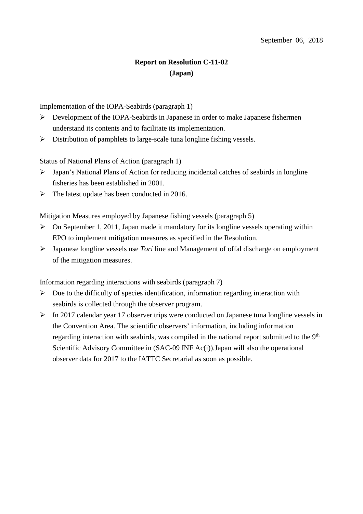## **Report on Resolution C-11-02 (Japan)**

Implementation of the IOPA-Seabirds (paragraph 1)

- Development of the IOPA-Seabirds in Japanese in order to make Japanese fishermen understand its contents and to facilitate its implementation.
- $\triangleright$  Distribution of pamphlets to large-scale tuna longline fishing vessels.

Status of National Plans of Action (paragraph 1)

- Japan's National Plans of Action for reducing incidental catches of seabirds in longline fisheries has been established in 2001.
- $\triangleright$  The latest update has been conducted in 2016.

Mitigation Measures employed by Japanese fishing vessels (paragraph 5)

- $\triangleright$  On September 1, 2011, Japan made it mandatory for its longline vessels operating within EPO to implement mitigation measures as specified in the Resolution.
- Japanese longline vessels use *Tori* line and Management of offal discharge on employment of the mitigation measures.

Information regarding interactions with seabirds (paragraph 7)

- $\triangleright$  Due to the difficulty of species identification, information regarding interaction with seabirds is collected through the observer program.
- $\triangleright$  In 2017 calendar year 17 observer trips were conducted on Japanese tuna longline vessels in the Convention Area. The scientific observers' information, including information regarding interaction with seabirds, was compiled in the national report submitted to the 9<sup>th</sup> Scientific Advisory Committee in (SAC-09 INF Ac(i)).Japan will also the operational observer data for 2017 to the IATTC Secretarial as soon as possible.